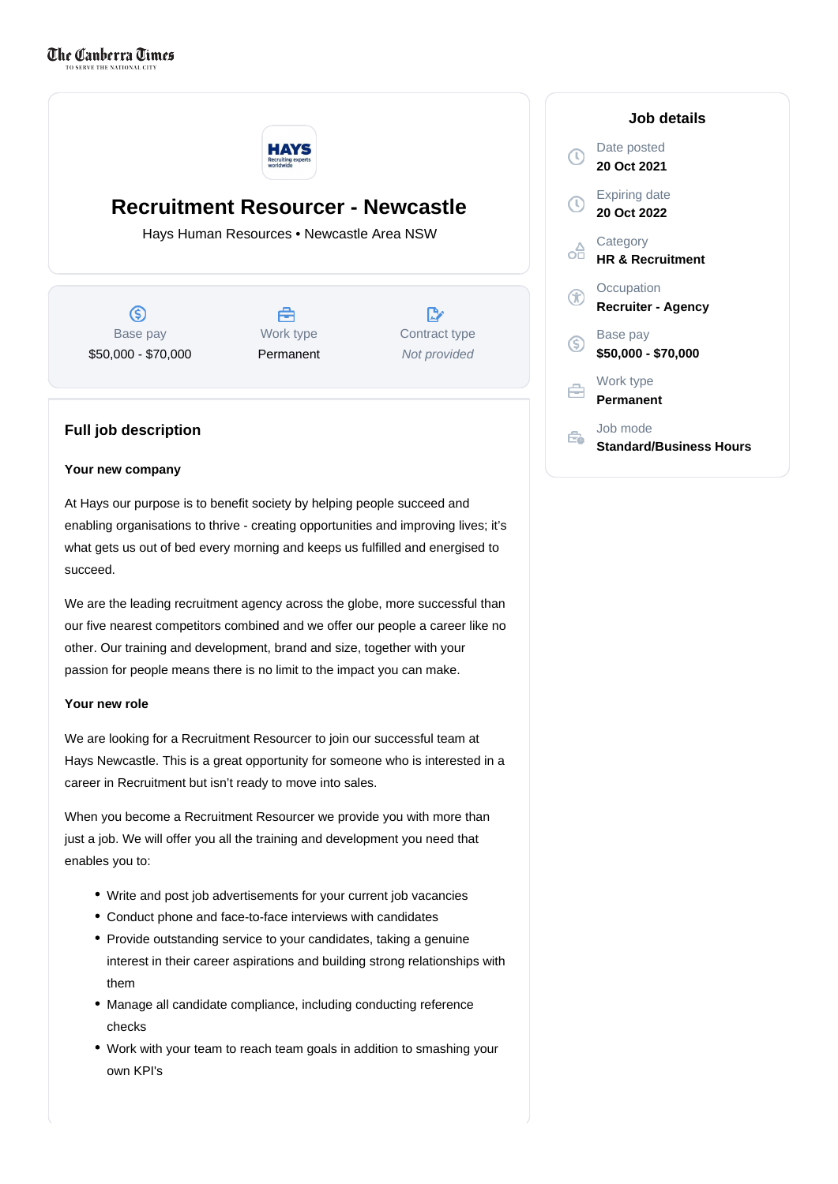

# **Recruitment Resourcer - Newcastle**

Hays Human Resources • Newcastle Area NSW

ග Base pay \$50,000 - \$70,000

Å Work type Permanent

 $\mathbb{R}^n$ Contract type Not provided

### **Full job description**

#### **Your new company**

At Hays our purpose is to benefit society by helping people succeed and enabling organisations to thrive - creating opportunities and improving lives; it's what gets us out of bed every morning and keeps us fulfilled and energised to succeed.

We are the leading recruitment agency across the globe, more successful than our five nearest competitors combined and we offer our people a career like no other. Our training and development, brand and size, together with your passion for people means there is no limit to the impact you can make.

#### **Your new role**

We are looking for a Recruitment Resourcer to join our successful team at Hays Newcastle. This is a great opportunity for someone who is interested in a career in Recruitment but isn't ready to move into sales.

When you become a Recruitment Resourcer we provide you with more than just a job. We will offer you all the training and development you need that enables you to:

- Write and post job advertisements for your current job vacancies
- Conduct phone and face-to-face interviews with candidates
- Provide outstanding service to your candidates, taking a genuine interest in their career aspirations and building strong relationships with them
- Manage all candidate compliance, including conducting reference checks
- Work with your team to reach team goals in addition to smashing your own KPI's